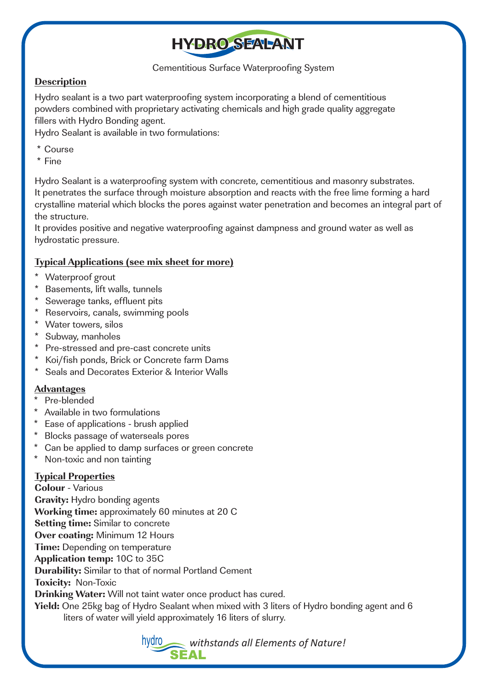

Cementitious Surface Waterproofing System

### **Description**

Hydro sealant is a two part waterproofing system incorporating a blend of cementitious powders combined with proprietary activating chemicals and high grade quality aggregate fillers with Hydro Bonding agent.

Hydro Sealant is available in two formulations:

- \* Course
- \* Fine

Hydro Sealant is a waterproofing system with concrete, cementitious and masonry substrates. It penetrates the surface through moisture absorption and reacts with the free lime forming a hard crystalline material which blocks the pores against water penetration and becomes an integral part of the structure.

It provides positive and negative waterproofing against dampness and ground water as well as hydrostatic pressure.

### **Typical Applications (see mix sheet for more)**

- Waterproof grout
- Basements, lift walls, tunnels
- Sewerage tanks, effluent pits
- Reservoirs, canals, swimming pools
- \* Water towers, silos
- Subway, manholes
- \* Pre-stressed and pre-cast concrete units
- Koi/fish ponds, Brick or Concrete farm Dams \*
- Seals and Decorates Exterior & Interior Walls \*

# **Advantages**

- Pre-blended
- Available in two formulations
- Ease of applications brush applied
- Blocks passage of waterseals pores
- Can be applied to damp surfaces or green concrete
- Non-toxic and non tainting

# **Typical Properties**

**Colour** - Various **Gravity:** Hydro bonding agents **Working time:** approximately 60 minutes at 20 C **Setting time:** Similar to concrete **Over coating:** Minimum 12 Hours **Time:** Depending on temperature **Application temp:** 10C to 35C **Durability:** Similar to that of normal Portland Cement **Toxicity:** Non-Toxic **Drinking Water:** Will not taint water once product has cured. **Yield:** One 25kg bag of Hydro Sealant when mixed with 3 liters of Hydro bonding agent and 6 liters of water will yield approximately 16 liters of slurry.

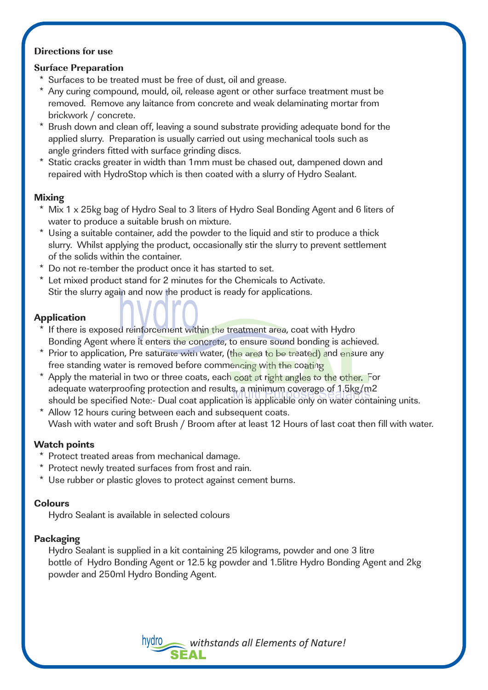### **Directions for use**

### **Surface Preparation**

- \* Surfaces to be treated must be free of dust, oil and grease.
- Any curing compound, mould, oil, release agent or other surface treatment must be removed. Remove any laitance from concrete and weak delaminating mortar from brickwork / concrete.
- Brush down and clean off, leaving a sound substrate providing adequate bond for the applied slurry. Preparation is usually carried out using mechanical tools such as angle grinders fitted with surface grinding discs.
- Static cracks greater in width than 1mm must be chased out, dampened down and repaired with HydroStop which is then coated with a slurry of Hydro Sealant.

- **Mixing**  \* Mix 1 x 25kg bag of Hydro Seal to 3 liters of Hydro Seal Bonding Agent and 6 liters of water to produce a suitable brush on mixture.
- \* Using a suitable container, add the powder to the liquid and stir to produce a thick slurry. Whilst applying the product, occasionally stir the slurry to prevent settlement of the solids within the container.
- Do not re-tember the product once it has started to set. \*
- Let mixed product stand for 2 minutes for the Chemicals to Activate. \* Stir the slurry again and now the product is ready for applications.

- \* If there is exposed reinforcement within the treatment area, coat with Hydro Bonding Agent where it enters the concrete, to ensure sound bonding is achieved.
- \* Prior to application, Pre saturate with water, (the area to be treated) and ensure any free standing water is removed before commencing with the coating
- \* Apply the material in two or three coats, each coat at right angles to the other. For adequate waterproofing protection and results, a minimum coverage of 1.5kg/m2 should be specified Note:- Dual coat application is applicable only on water containing units.
- Allow 12 hours curing between each and subsequent coats. Wash with water and soft Brush / Broom after at least 12 Hours of last coat then fill with water. \*

- \* Protect treated areas from mechanical damage.
- \* Protect newly treated surfaces from frost and rain.
- \* Use rubber or plastic gloves to protect against cement burns.

**Colours**  Hydro Sealant is available in selected colours

**Packaging** Hydro Sealant is supplied in a kit containing 25 kilograms, powder and one 3 litre bottle of Hydro Bonding Agent or 12.5 kg powder and 1.5litre Hydro Bonding Agent and 2kg powder and 250ml Hydro Bonding Agent.

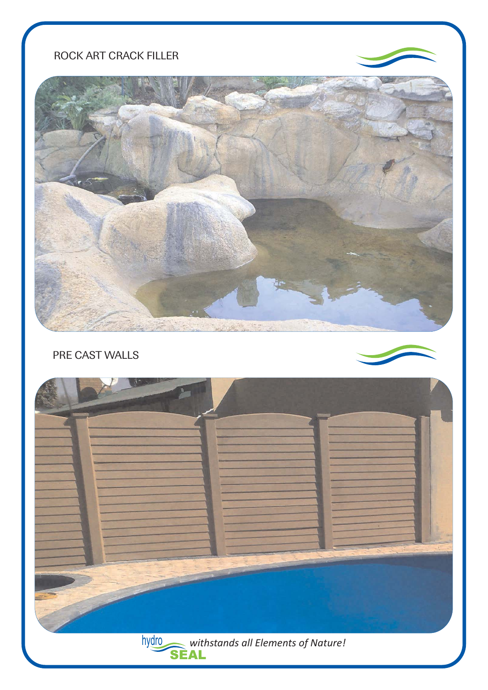# ROCK ART CRACK FILLER



PRE CAST WALLS